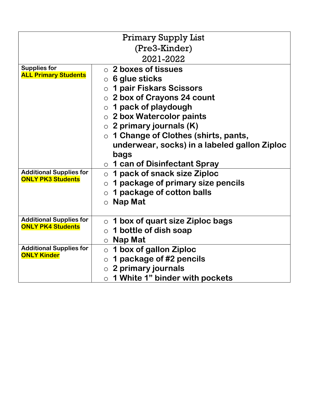|                                                            | <b>Primary Supply List</b>                   |
|------------------------------------------------------------|----------------------------------------------|
|                                                            | (Pre3-Kinder)                                |
|                                                            | 2021-2022                                    |
| <b>Supplies for</b><br><b>ALL Primary Students</b>         | $\circ$ 2 boxes of tissues                   |
|                                                            | $\circ$ 6 glue sticks                        |
|                                                            | ○ 1 pair Fiskars Scissors                    |
|                                                            | $\circ$ 2 box of Crayons 24 count            |
|                                                            | $\circ$ 1 pack of playdough                  |
|                                                            | $\circ$ 2 box Watercolor paints              |
|                                                            | $\circ$ 2 primary journals (K)               |
|                                                            | $\circ$ 1 Change of Clothes (shirts, pants,  |
|                                                            | underwear, socks) in a labeled gallon Ziploc |
|                                                            | bags                                         |
|                                                            | 1 can of Disinfectant Spray<br>$\circ$       |
| <b>Additional Supplies for</b><br><b>ONLY PK3 Students</b> | 1 pack of snack size Ziploc<br>$\circ$       |
|                                                            | 1 package of primary size pencils<br>$\circ$ |
|                                                            | 1 package of cotton balls<br>$\circ$         |
|                                                            | Nap Mat<br>$\circ$                           |
|                                                            |                                              |
| <b>Additional Supplies for</b><br><b>ONLY PK4 Students</b> | $\circ$ 1 box of quart size Ziploc bags      |
|                                                            | 1 bottle of dish soap<br>$\circ$             |
|                                                            | $\circ$ Nap Mat                              |
| <b>Additional Supplies for</b><br><b>ONLY Kinder</b>       | 1 box of gallon Ziploc<br>$\circ$            |
|                                                            | 1 package of #2 pencils<br>$\circ$           |
|                                                            | 2 primary journals<br>$\circ$                |
|                                                            | $\circ$ 1 White 1" binder with pockets       |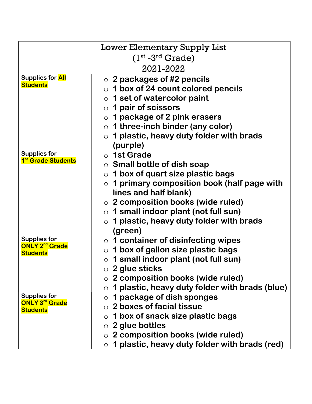| <b>Lower Elementary Supply List</b>                   |                                                             |  |
|-------------------------------------------------------|-------------------------------------------------------------|--|
|                                                       | $(1st - 3rd Grade)$                                         |  |
|                                                       |                                                             |  |
|                                                       | 2021-2022                                                   |  |
| <b>Supplies for All</b><br><b>Students</b>            | $\circ$ 2 packages of #2 pencils                            |  |
|                                                       | $\circ$ 1 box of 24 count colored pencils                   |  |
|                                                       | $\circ$ 1 set of watercolor paint                           |  |
|                                                       | $\circ$ 1 pair of scissors                                  |  |
|                                                       | $\circ$ 1 package of 2 pink erasers                         |  |
|                                                       | $\circ$ 1 three-inch binder (any color)                     |  |
|                                                       | 1 plastic, heavy duty folder with brads<br>$\circ$          |  |
|                                                       | (purple)                                                    |  |
| <b>Supplies for</b><br>1 <sup>st</sup> Grade Students | $\circ$ 1st Grade                                           |  |
|                                                       | $\circ$ Small bottle of dish soap                           |  |
|                                                       | $\circ$ 1 box of quart size plastic bags                    |  |
|                                                       | 1 primary composition book (half page with<br>$\circ$       |  |
|                                                       | lines and half blank)                                       |  |
|                                                       | $\circ$ 2 composition books (wide ruled)                    |  |
|                                                       | $\circ$ 1 small indoor plant (not full sun)                 |  |
|                                                       | 1 plastic, heavy duty folder with brads<br>$\circ$          |  |
|                                                       | (green)                                                     |  |
| <b>Supplies for</b>                                   | $\circ$ 1 container of disinfecting wipes                   |  |
| <b>ONLY 2<sup>nd</sup> Grade</b><br><b>Students</b>   | 1 box of gallon size plastic bags<br>$\circ$                |  |
|                                                       | 1 small indoor plant (not full sun)<br>$\circ$              |  |
|                                                       | $\circ$ 2 glue sticks                                       |  |
|                                                       | $\circ$ 2 composition books (wide ruled)                    |  |
|                                                       | 1 plastic, heavy duty folder with brads (blue)<br>$\circ$   |  |
| <b>Supplies for</b>                                   | 1 package of dish sponges<br>$\circ$                        |  |
| <b>ONLY 3<sup>rd</sup> Grade</b><br><b>Students</b>   | $\circ$ 2 boxes of facial tissue                            |  |
|                                                       | 1 box of snack size plastic bags<br>$\circ$                 |  |
|                                                       | $\circ$ 2 glue bottles                                      |  |
|                                                       | 2 composition books (wide ruled)                            |  |
|                                                       | 1 plastic, heavy duty folder with brads (red)<br>$\bigcirc$ |  |